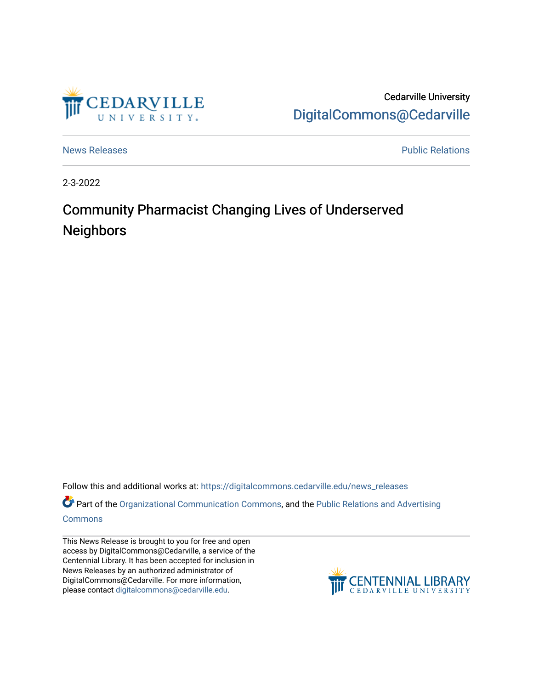

Cedarville University [DigitalCommons@Cedarville](https://digitalcommons.cedarville.edu/) 

[News Releases](https://digitalcommons.cedarville.edu/news_releases) **Public Relations** 

2-3-2022

## Community Pharmacist Changing Lives of Underserved **Neighbors**

Follow this and additional works at: [https://digitalcommons.cedarville.edu/news\\_releases](https://digitalcommons.cedarville.edu/news_releases?utm_source=digitalcommons.cedarville.edu%2Fnews_releases%2F1491&utm_medium=PDF&utm_campaign=PDFCoverPages) 

Part of the [Organizational Communication Commons](http://network.bepress.com/hgg/discipline/335?utm_source=digitalcommons.cedarville.edu%2Fnews_releases%2F1491&utm_medium=PDF&utm_campaign=PDFCoverPages), and the [Public Relations and Advertising](http://network.bepress.com/hgg/discipline/336?utm_source=digitalcommons.cedarville.edu%2Fnews_releases%2F1491&utm_medium=PDF&utm_campaign=PDFCoverPages)  [Commons](http://network.bepress.com/hgg/discipline/336?utm_source=digitalcommons.cedarville.edu%2Fnews_releases%2F1491&utm_medium=PDF&utm_campaign=PDFCoverPages)

This News Release is brought to you for free and open access by DigitalCommons@Cedarville, a service of the Centennial Library. It has been accepted for inclusion in News Releases by an authorized administrator of DigitalCommons@Cedarville. For more information, please contact [digitalcommons@cedarville.edu](mailto:digitalcommons@cedarville.edu).

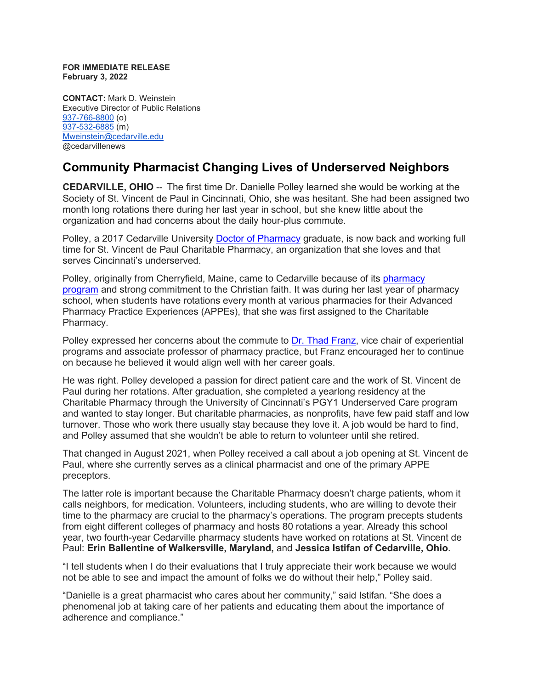**FOR IMMEDIATE RELEASE February 3, 2022**

**CONTACT:** Mark D. Weinstein Executive Director of Public Relations [937-766-8800](tel:937-766-8800) (o) [937-532-6885](tel:937-532-6885) (m) [Mweinstein@cedarville.edu](mailto:Mweinstein@cedarville.edu) @cedarvillenews

## **Community Pharmacist Changing Lives of Underserved Neighbors**

**CEDARVILLE, OHIO --** The first time Dr. Danielle Polley learned she would be working at the Society of St. Vincent de Paul in Cincinnati, Ohio, she was hesitant. She had been assigned two month long rotations there during her last year in school, but she knew little about the organization and had concerns about the daily hour-plus commute.

Polley, a 2017 Cedarville University [Doctor of Pharmacy](https://www.cedarville.edu/academic-programs/doctor-of-pharmacy) graduate, is now back and working full time for St. Vincent de Paul Charitable Pharmacy, an organization that she loves and that serves Cincinnati's underserved.

Polley, originally from Cherryfield, Maine, came to Cedarville because of its [pharmacy](https://www.cedarville.edu/academic-schools-and-departments/pharmacy)  [program](https://www.cedarville.edu/academic-schools-and-departments/pharmacy) and strong commitment to the Christian faith. It was during her last year of pharmacy school, when students have rotations every month at various pharmacies for their Advanced Pharmacy Practice Experiences (APPEs), that she was first assigned to the Charitable Pharmacy.

Polley expressed her concerns about the commute to [Dr. Thad Franz,](https://www.cedarville.edu/academic-schools-and-departments/pharmacy/pre-pharmacy/faculty-staff/pharm-pract/franz-thaddeus) vice chair of experiential programs and associate professor of pharmacy practice, but Franz encouraged her to continue on because he believed it would align well with her career goals.

He was right. Polley developed a passion for direct patient care and the work of St. Vincent de Paul during her rotations. After graduation, she completed a yearlong residency at the Charitable Pharmacy through the University of Cincinnati's PGY1 Underserved Care program and wanted to stay longer. But charitable pharmacies, as nonprofits, have few paid staff and low turnover. Those who work there usually stay because they love it. A job would be hard to find, and Polley assumed that she wouldn't be able to return to volunteer until she retired.

That changed in August 2021, when Polley received a call about a job opening at St. Vincent de Paul, where she currently serves as a clinical pharmacist and one of the primary APPE preceptors.

The latter role is important because the Charitable Pharmacy doesn't charge patients, whom it calls neighbors, for medication. Volunteers, including students, who are willing to devote their time to the pharmacy are crucial to the pharmacy's operations. The program precepts students from eight different colleges of pharmacy and hosts 80 rotations a year. Already this school year, two fourth-year Cedarville pharmacy students have worked on rotations at St. Vincent de Paul: **Erin Ballentine of Walkersville, Maryland,** and **Jessica Istifan of Cedarville, Ohio**.

"I tell students when I do their evaluations that I truly appreciate their work because we would not be able to see and impact the amount of folks we do without their help," Polley said.

"Danielle is a great pharmacist who cares about her community," said Istifan. "She does a phenomenal job at taking care of her patients and educating them about the importance of adherence and compliance."